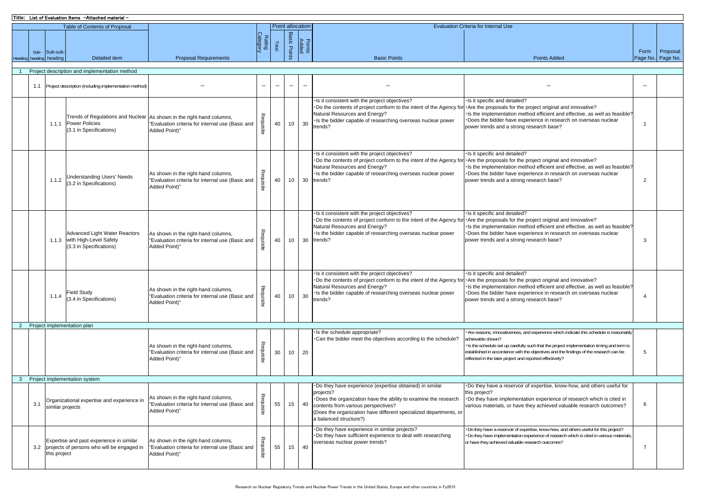|                                               | Title: List of Evaluation Items - Attached material - |                  |                                                                                                 |                                                                                                                                            |                          |                          |                          |                          |                                                                                                                                                                                                                                                                              |                                                                                                                                                                                                                                                                                                                                                              |                          |                   |  |  |
|-----------------------------------------------|-------------------------------------------------------|------------------|-------------------------------------------------------------------------------------------------|--------------------------------------------------------------------------------------------------------------------------------------------|--------------------------|--------------------------|--------------------------|--------------------------|------------------------------------------------------------------------------------------------------------------------------------------------------------------------------------------------------------------------------------------------------------------------------|--------------------------------------------------------------------------------------------------------------------------------------------------------------------------------------------------------------------------------------------------------------------------------------------------------------------------------------------------------------|--------------------------|-------------------|--|--|
|                                               |                                                       |                  | <b>Table of Contents of Proposal</b>                                                            |                                                                                                                                            | <b>Point allocation</b>  |                          |                          |                          | <b>Evaluation Criteria for Internal Use</b>                                                                                                                                                                                                                                  |                                                                                                                                                                                                                                                                                                                                                              |                          |                   |  |  |
|                                               | Sub-                                                  | Sub-sub-         |                                                                                                 |                                                                                                                                            | Rating<br>Category       | Total                    | <b>Basic Points</b>      | <b>Points</b><br>Added   |                                                                                                                                                                                                                                                                              |                                                                                                                                                                                                                                                                                                                                                              | Form                     | Proposal          |  |  |
| Headini                                       |                                                       | heading heading  | Detailed item                                                                                   | <b>Proposal Requirements</b>                                                                                                               |                          |                          |                          |                          | <b>Basic Points</b>                                                                                                                                                                                                                                                          | <b>Points Added</b>                                                                                                                                                                                                                                                                                                                                          |                          | Page No. Page No. |  |  |
| Project description and implementation method |                                                       |                  |                                                                                                 |                                                                                                                                            |                          |                          |                          |                          |                                                                                                                                                                                                                                                                              |                                                                                                                                                                                                                                                                                                                                                              |                          |                   |  |  |
|                                               |                                                       |                  | 1.1 Project description (including implementation method)                                       |                                                                                                                                            | $\overline{\phantom{a}}$ | $\overline{\phantom{0}}$ | $\overline{\phantom{0}}$ | $\overline{\phantom{m}}$ |                                                                                                                                                                                                                                                                              |                                                                                                                                                                                                                                                                                                                                                              | $\overline{\phantom{a}}$ |                   |  |  |
|                                               |                                                       | 1.1.1            | <b>Power Policies</b><br>(3.1 in Specifications)                                                | Trends of Regulations and Nuclear As shown in the right-hand columns,<br>"Evaluation criteria for internal use (Basic and<br>Added Point)" | Requisite                | 40                       | 10 <sup>1</sup>          | 30                       | Is it consistent with the project objectives?<br>Do the contents of project conform to the intent of the Agency for<br>Natural Resources and Energy?<br>Is the bidder capable of researching overseas nuclear power<br>trends?                                               | Is it specific and detailed?<br>Are the proposals for the project original and innovative?<br>Is the implementation method efficient and effective, as well as feasible?<br>Does the bidder have experience in research on overseas nuclear<br>power trends and a strong research base?                                                                      |                          |                   |  |  |
|                                               |                                                       | 1.1.2            | <b>Understanding Users' Needs</b><br>(3.2 in Specifications)                                    | As shown in the right-hand columns,<br>"Evaluation criteria for internal use (Basic and<br>Added Point)"                                   | Requisite                | 40                       | 10 <sup>1</sup>          | 30                       | Is it consistent with the project objectives?<br>Do the contents of project conform to the intent of the Agency for<br>Natural Resources and Energy?<br>Is the bidder capable of researching overseas nuclear power<br>trends?                                               | . Is it specific and detailed?<br>Are the proposals for the project original and innovative?<br>Is the implementation method efficient and effective, as well as feasible?<br>Does the bidder have experience in research on overseas nuclear<br>power trends and a strong research base?                                                                    | $\overline{2}$           |                   |  |  |
|                                               |                                                       |                  | <b>Advanced Light Water Reactors</b><br>1.1.3 with High-Level Safety<br>(3.3 in Specifications) | As shown in the right-hand columns,<br>"Evaluation criteria for internal use (Basic and<br>Added Point)"                                   | Requisite                | 40                       | 10 <sup>1</sup>          | 30                       | Is it consistent with the project objectives?<br>Do the contents of project conform to the intent of the Agency for<br>Natural Resources and Energy?<br>Is the bidder capable of researching overseas nuclear power<br>trends?                                               | Is it specific and detailed?<br>Are the proposals for the project original and innovative?<br>Is the implementation method efficient and effective, as well as feasible?<br>Does the bidder have experience in research on overseas nuclear<br>power trends and a strong research base?                                                                      | 3                        |                   |  |  |
|                                               |                                                       | 1.1.4            | <b>Field Study</b><br>(3.4 in Specifications)                                                   | As shown in the right-hand columns,<br>"Evaluation criteria for internal use (Basic and<br>Added Point)"                                   | Requisite                | 40                       | 10 <sup>1</sup>          | 30                       | Is it consistent with the project objectives?<br>Do the contents of project conform to the intent of the Agency for<br>Natural Resources and Energy?<br>Is the bidder capable of researching overseas nuclear power<br>trends?                                               | Is it specific and detailed?<br>Are the proposals for the project original and innovative?<br>Is the implementation method efficient and effective, as well as feasible?<br>Does the bidder have experience in research on overseas nuclear<br>power trends and a strong research base?                                                                      | $\overline{4}$           |                   |  |  |
|                                               |                                                       |                  | 2 Project implementation plan                                                                   |                                                                                                                                            |                          |                          |                          |                          |                                                                                                                                                                                                                                                                              |                                                                                                                                                                                                                                                                                                                                                              |                          |                   |  |  |
|                                               |                                                       |                  |                                                                                                 | As shown in the right-hand columns,<br>"Evaluation criteria for internal use (Basic and<br>Added Point)"                                   | Requisite                | 30                       | 10                       | 20                       | Is the schedule appropriate?<br>Can the bidder meet the objectives according to the schedule?                                                                                                                                                                                | Are reasons, innovativeness, and experience which indicate this schedule is reasonably<br>achievable shown?<br>Is the schedule set up carefully such that the project implementation timing and term is<br>established in accordance with the objectives and the findings of the research can be<br>reflected in the later project and reported effectively? | 5                        |                   |  |  |
| $\mathbf{3}$                                  |                                                       |                  | Project implementation system                                                                   |                                                                                                                                            |                          |                          |                          |                          |                                                                                                                                                                                                                                                                              |                                                                                                                                                                                                                                                                                                                                                              |                          |                   |  |  |
|                                               | 3.1                                                   | similar projects | Organizational expertise and experience in                                                      | As shown in the right-hand columns,<br>"Evaluation criteria for internal use (Basic and<br>Added Point)"                                   | Requisite                | 55                       | 15                       | 40                       | Do they have experience (expertise obtained) in similar<br>projects?<br>·Does the organization have the ability to examine the research<br>contents from various perspectives?<br>Does the organization have different specialized departments, or<br>a balanced structure?) | Do they have a reservoir of expertise, know-how, and others useful for<br>this project?<br>Do they have implementation experience of research which is cited in<br>various materials, or have they achieved valuable research outcomes?                                                                                                                      | 6                        |                   |  |  |
|                                               |                                                       | this project     | Expertise and past experience in similar<br>3.2 projects of persons who will be engaged in      | As shown in the right-hand columns,<br>"Evaluation criteria for internal use (Basic and<br>Added Point)"                                   | Requisite                | 55                       | 15                       | 40                       | Do they have experience in similar projects?<br>Do they have sufficient experience to deal with researching<br>overseas nuclear power trends?                                                                                                                                | Do they have a reservoir of expertise, know-how, and others useful for this project?<br>Do they have implementation experience of research which is cited in various materials<br>or have they achieved valuable research outcomes?                                                                                                                          | $\overline{7}$           |                   |  |  |